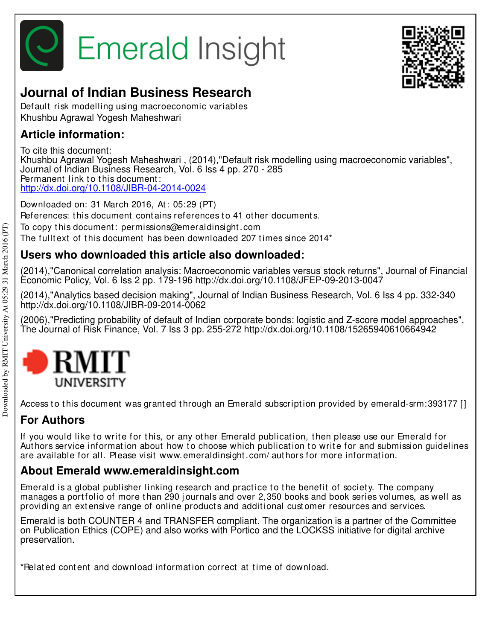



## **Journal of Indian Business Research**

Default risk modelling using macroeconomic variables Khushbu Agrawal Yogesh Maheshwari

### **Article information:**

To cite this document: Khushbu Agrawal Yogesh Maheshwari , (2014),"Default risk modelling using macroeconomic variables", Journal of Indian Business Research, Vol. 6 Iss 4 pp. 270 - 285 Permanent link to this document: http://dx.doi.org/10.1108/JIBR-04-2014-0024

Downloaded on: 31 March 2016, At : 05:29 (PT)

References: this document contains references to 41 other documents.

To copy t his document : permissions@emeraldinsight .com

The fulltext of this document has been downloaded 207 times since  $2014$ <sup>\*</sup>

### **Users who downloaded this article also downloaded:**

(2014),"Canonical correlation analysis: Macroeconomic variables versus stock returns", Journal of Financial Economic Policy, Vol. 6 Iss 2 pp. 179-196 http://dx.doi.org/10.1108/JFEP-09-2013-0047

(2014),"Analytics based decision making", Journal of Indian Business Research, Vol. 6 Iss 4 pp. 332-340 http://dx.doi.org/10.1108/JIBR-09-2014-0062

(2006),"Predicting probability of default of Indian corporate bonds: logistic and Z-score model approaches", The Journal of Risk Finance, Vol. 7 Iss 3 pp. 255-272 http://dx.doi.org/10.1108/15265940610664942



Access to this document was granted through an Emerald subscription provided by emerald-srm:393177 []

### **For Authors**

If you would like to write for this, or any other Emerald publication, then please use our Emerald for Authors service information about how to choose which publication to write for and submission guidelines are available for all. Please visit www.emeraldinsight.com/ authors for more information.

### **About Emerald www.emeraldinsight.com**

Emerald is a global publisher linking research and practice to the benefit of society. The company manages a portfolio of more than 290 journals and over 2,350 books and book series volumes, as well as providing an extensive range of online products and additional customer resources and services.

Emerald is both COUNTER 4 and TRANSFER compliant. The organization is a partner of the Committee on Publication Ethics (COPE) and also works with Portico and the LOCKSS initiative for digital archive preservation.

\*Relat ed cont ent and download informat ion correct at t ime of download.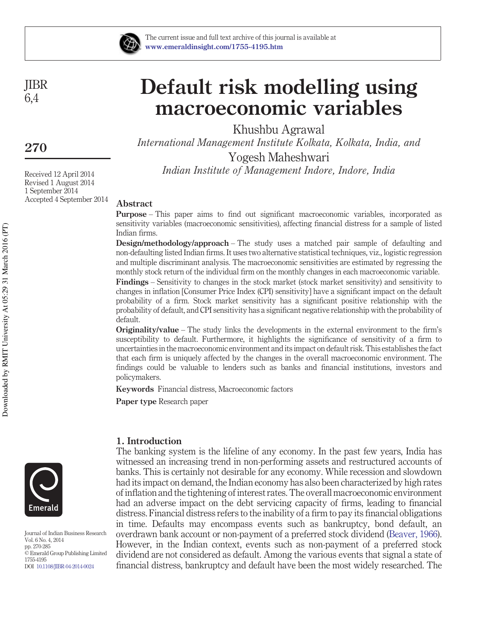

The current issue and full text archive of this journal is available at **www.emeraldinsight.com/1755-4195.htm**

JIBR 6,4

**270**

Received 12 April 2014 Revised 1 August 2014 1 September 2014 Accepted 4 September 2014

# **Default risk modelling using macroeconomic variables**

Khushbu Agrawal *International Management Institute Kolkata, Kolkata, India, and*

Yogesh Maheshwari *Indian Institute of Management Indore, Indore, India*

#### **Abstract**

**Purpose** – This paper aims to find out significant macroeconomic variables, incorporated as sensitivity variables (macroeconomic sensitivities), affecting financial distress for a sample of listed Indian firms.

**Design/methodology/approach** – The study uses a matched pair sample of defaulting and non-defaulting listed Indian firms. It uses two alternative statistical techniques, viz., logistic regression and multiple discriminant analysis. The macroeconomic sensitivities are estimated by regressing the monthly stock return of the individual firm on the monthly changes in each macroeconomic variable.

**Findings** – Sensitivity to changes in the stock market (stock market sensitivity) and sensitivity to changes in inflation [Consumer Price Index (CPI) sensitivity] have a significant impact on the default probability of a firm. Stock market sensitivity has a significant positive relationship with the probability of default, and CPI sensitivity has a significant negative relationship with the probability of default.

**Originality/value** – The study links the developments in the external environment to the firm's susceptibility to default. Furthermore, it highlights the significance of sensitivity of a firm to uncertainties in the macroeconomic environment and its impact on default risk. This establishes the fact that each firm is uniquely affected by the changes in the overall macroeconomic environment. The findings could be valuable to lenders such as banks and financial institutions, investors and policymakers.

**Keywords** Financial distress, Macroeconomic factors

**Paper type** Research paper



**1. Introduction**

The banking system is the lifeline of any economy. In the past few years, India has witnessed an increasing trend in non-performing assets and restructured accounts of banks. This is certainly not desirable for any economy. While recession and slowdown had its impact on demand, the Indian economy has also been characterized by high rates of inflation and the tightening of interest rates. The overall macroeconomic environment had an adverse impact on the debt servicing capacity of firms, leading to financial distress. Financial distress refers to the inability of a firm to pay its financial obligations in time. Defaults may encompass events such as bankruptcy, bond default, an overdrawn bank account or non-payment of a preferred stock dividend (Beaver, 1966). However, in the Indian context, events such as non-payment of a preferred stock dividend are not considered as default. Among the various events that signal a state of financial distress, bankruptcy and default have been the most widely researched. The



Journal of Indian Business Research Vol. 6 No. 4, 2014 pp. 270-285 © Emerald Group Publishing Limited 1755-4195 DOI 10.1108/JIBR-04-2014-0024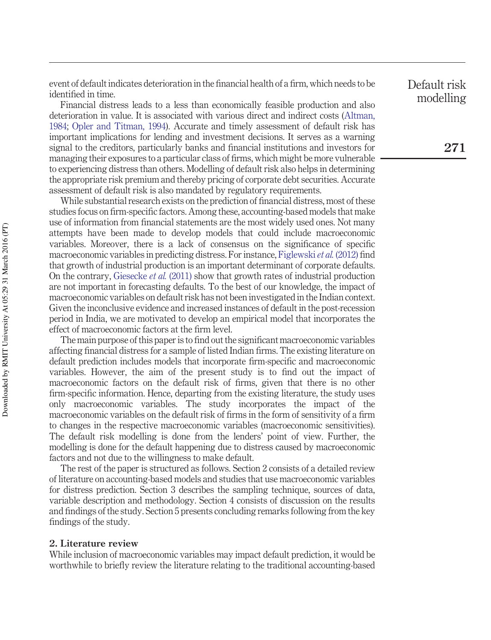event of default indicates deterioration in the financial health of a firm, which needs to be identified in time.

Financial distress leads to a less than economically feasible production and also deterioration in value. It is associated with various direct and indirect costs (Altman, 1984; Opler and Titman, 1994). Accurate and timely assessment of default risk has important implications for lending and investment decisions. It serves as a warning signal to the creditors, particularly banks and financial institutions and investors for managing their exposures to a particular class of firms, which might be more vulnerable to experiencing distress than others. Modelling of default risk also helps in determining the appropriate risk premium and thereby pricing of corporate debt securities. Accurate assessment of default risk is also mandated by regulatory requirements.

While substantial research exists on the prediction of financial distress, most of these studies focus on firm-specific factors. Among these, accounting-based models that make use of information from financial statements are the most widely used ones. Not many attempts have been made to develop models that could include macroeconomic variables. Moreover, there is a lack of consensus on the significance of specific macroeconomic variables in predicting distress. For instance, Figlewski *et al.* (2012) find that growth of industrial production is an important determinant of corporate defaults. On the contrary, Giesecke *et al.* (2011) show that growth rates of industrial production are not important in forecasting defaults. To the best of our knowledge, the impact of macroeconomic variables on default risk has not been investigated in the Indian context. Given the inconclusive evidence and increased instances of default in the post-recession period in India, we are motivated to develop an empirical model that incorporates the effect of macroeconomic factors at the firm level.

The main purpose of this paper is to find out the significant macroeconomic variables affecting financial distress for a sample of listed Indian firms. The existing literature on default prediction includes models that incorporate firm-specific and macroeconomic variables. However, the aim of the present study is to find out the impact of macroeconomic factors on the default risk of firms, given that there is no other firm-specific information. Hence, departing from the existing literature, the study uses only macroeconomic variables. The study incorporates the impact of the macroeconomic variables on the default risk of firms in the form of sensitivity of a firm to changes in the respective macroeconomic variables (macroeconomic sensitivities). The default risk modelling is done from the lenders' point of view. Further, the modelling is done for the default happening due to distress caused by macroeconomic factors and not due to the willingness to make default.

The rest of the paper is structured as follows. Section 2 consists of a detailed review of literature on accounting-based models and studies that use macroeconomic variables for distress prediction. Section 3 describes the sampling technique, sources of data, variable description and methodology. Section 4 consists of discussion on the results and findings of the study. Section 5 presents concluding remarks following from the key findings of the study.

#### **2. Literature review**

While inclusion of macroeconomic variables may impact default prediction, it would be worthwhile to briefly review the literature relating to the traditional accounting-based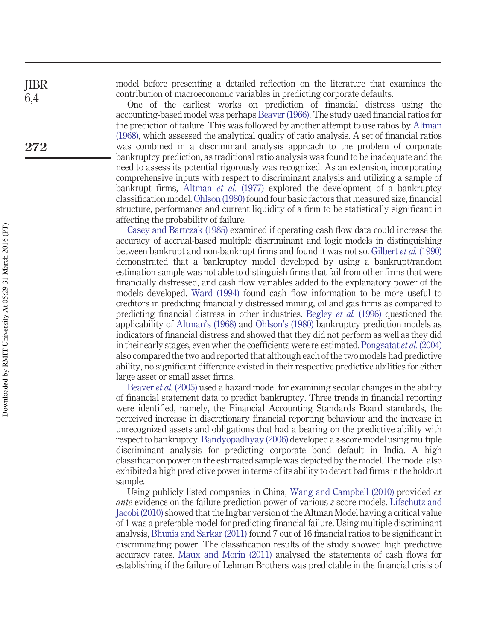JIBR 6,4

**272**

model before presenting a detailed reflection on the literature that examines the contribution of macroeconomic variables in predicting corporate defaults.

One of the earliest works on prediction of financial distress using the accounting-based model was perhaps Beaver (1966). The study used financial ratios for the prediction of failure. This was followed by another attempt to use ratios by Altman (1968), which assessed the analytical quality of ratio analysis. A set of financial ratios was combined in a discriminant analysis approach to the problem of corporate bankruptcy prediction, as traditional ratio analysis was found to be inadequate and the need to assess its potential rigorously was recognized. As an extension, incorporating comprehensive inputs with respect to discriminant analysis and utilizing a sample of bankrupt firms, Altman *et al.* (1977) explored the development of a bankruptcy classification model.Ohlson (1980) found four basic factors that measured size, financial structure, performance and current liquidity of a firm to be statistically significant in affecting the probability of failure.

Casey and Bartczak (1985) examined if operating cash flow data could increase the accuracy of accrual-based multiple discriminant and logit models in distinguishing between bankrupt and non-bankrupt firms and found it was not so. Gilbert *et al.* (1990) demonstrated that a bankruptcy model developed by using a bankrupt/random estimation sample was not able to distinguish firms that fail from other firms that were financially distressed, and cash flow variables added to the explanatory power of the models developed. Ward (1994) found cash flow information to be more useful to creditors in predicting financially distressed mining, oil and gas firms as compared to predicting financial distress in other industries. Begley *et al.* (1996) questioned the applicability of Altman's (1968) and Ohlson's (1980) bankruptcy prediction models as indicators of financial distress and showed that they did not perform as well as they did in their early stages, even when the coefficients were re-estimated. Pongsatat *et al.* (2004) also compared the two and reported that although each of the two models had predictive ability, no significant difference existed in their respective predictive abilities for either large asset or small asset firms.

Beaver *et al.* (2005) used a hazard model for examining secular changes in the ability of financial statement data to predict bankruptcy. Three trends in financial reporting were identified, namely, the Financial Accounting Standards Board standards, the perceived increase in discretionary financial reporting behaviour and the increase in unrecognized assets and obligations that had a bearing on the predictive ability with respect to bankruptcy. Bandyopadhyay (2006) developed a *z*-score model using multiple discriminant analysis for predicting corporate bond default in India. A high classification power on the estimated sample was depicted by the model. The model also exhibited a high predictive power in terms of its ability to detect bad firms in the holdout sample.

Using publicly listed companies in China, Wang and Campbell (2010) provided *ex ante* evidence on the failure prediction power of various *z*-score models. Lifschutz and Jacobi (2010) showed that the Ingbar version of the Altman Model having a critical value of 1 was a preferable model for predicting financial failure. Using multiple discriminant analysis, Bhunia and Sarkar (2011) found 7 out of 16 financial ratios to be significant in discriminating power. The classification results of the study showed high predictive accuracy rates. Maux and Morin (2011) analysed the statements of cash flows for establishing if the failure of Lehman Brothers was predictable in the financial crisis of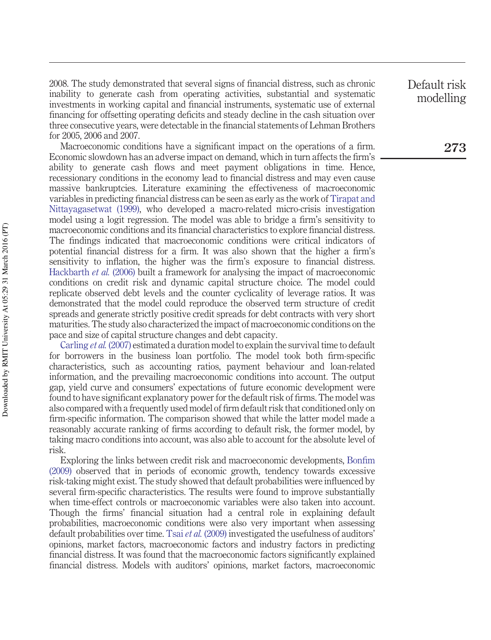2008. The study demonstrated that several signs of financial distress, such as chronic inability to generate cash from operating activities, substantial and systematic investments in working capital and financial instruments, systematic use of external financing for offsetting operating deficits and steady decline in the cash situation over three consecutive years, were detectable in the financial statements of Lehman Brothers for 2005, 2006 and 2007.

Macroeconomic conditions have a significant impact on the operations of a firm. Economic slowdown has an adverse impact on demand, which in turn affects the firm's ability to generate cash flows and meet payment obligations in time. Hence, recessionary conditions in the economy lead to financial distress and may even cause massive bankruptcies. Literature examining the effectiveness of macroeconomic variables in predicting financial distress can be seen as early as the work of Tirapat and Nittayagasetwat (1999), who developed a macro-related micro-crisis investigation model using a logit regression. The model was able to bridge a firm's sensitivity to macroeconomic conditions and its financial characteristics to explore financial distress. The findings indicated that macroeconomic conditions were critical indicators of potential financial distress for a firm. It was also shown that the higher a firm's sensitivity to inflation, the higher was the firm's exposure to financial distress. Hackbarth *et al.* (2006) built a framework for analysing the impact of macroeconomic conditions on credit risk and dynamic capital structure choice. The model could replicate observed debt levels and the counter cyclicality of leverage ratios. It was demonstrated that the model could reproduce the observed term structure of credit spreads and generate strictly positive credit spreads for debt contracts with very short maturities. The study also characterized the impact of macroeconomic conditions on the pace and size of capital structure changes and debt capacity.

Carling *et al.* (2007) estimated a duration model to explain the survival time to default for borrowers in the business loan portfolio. The model took both firm-specific characteristics, such as accounting ratios, payment behaviour and loan-related information, and the prevailing macroeconomic conditions into account. The output gap, yield curve and consumers' expectations of future economic development were found to have significant explanatory power for the default risk of firms. The model was also compared with a frequently used model of firm default risk that conditioned only on firm-specific information. The comparison showed that while the latter model made a reasonably accurate ranking of firms according to default risk, the former model, by taking macro conditions into account, was also able to account for the absolute level of risk.

Exploring the links between credit risk and macroeconomic developments, Bonfim (2009) observed that in periods of economic growth, tendency towards excessive risk-taking might exist. The study showed that default probabilities were influenced by several firm-specific characteristics. The results were found to improve substantially when time-effect controls or macroeconomic variables were also taken into account. Though the firms' financial situation had a central role in explaining default probabilities, macroeconomic conditions were also very important when assessing default probabilities over time. Tsai *et al.* (2009) investigated the usefulness of auditors' opinions, market factors, macroeconomic factors and industry factors in predicting financial distress. It was found that the macroeconomic factors significantly explained financial distress. Models with auditors' opinions, market factors, macroeconomic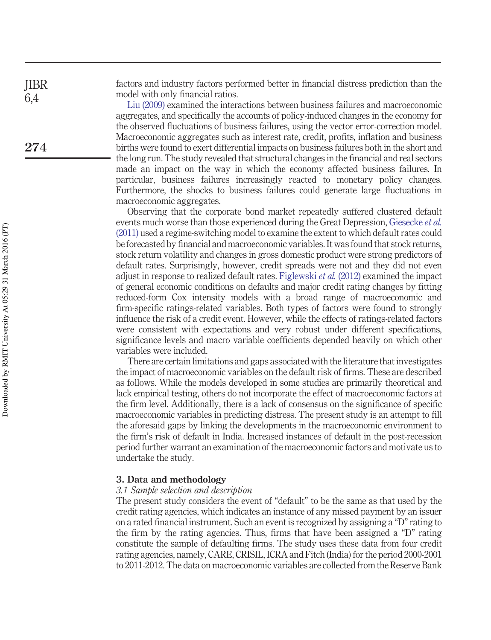factors and industry factors performed better in financial distress prediction than the model with only financial ratios.

Liu (2009) examined the interactions between business failures and macroeconomic aggregates, and specifically the accounts of policy-induced changes in the economy for the observed fluctuations of business failures, using the vector error-correction model. Macroeconomic aggregates such as interest rate, credit, profits, inflation and business births were found to exert differential impacts on business failures both in the short and the long run. The study revealed that structural changes in the financial and real sectors made an impact on the way in which the economy affected business failures. In particular, business failures increasingly reacted to monetary policy changes. Furthermore, the shocks to business failures could generate large fluctuations in macroeconomic aggregates.

Observing that the corporate bond market repeatedly suffered clustered default events much worse than those experienced during the Great Depression, Giesecke *et al.* (2011) used a regime-switching model to examine the extent to which default rates could be forecasted by financial and macroeconomic variables. It was found that stock returns, stock return volatility and changes in gross domestic product were strong predictors of default rates. Surprisingly, however, credit spreads were not and they did not even adjust in response to realized default rates. Figlewski *et al.* (2012) examined the impact of general economic conditions on defaults and major credit rating changes by fitting reduced-form Cox intensity models with a broad range of macroeconomic and firm-specific ratings-related variables. Both types of factors were found to strongly influence the risk of a credit event. However, while the effects of ratings-related factors were consistent with expectations and very robust under different specifications, significance levels and macro variable coefficients depended heavily on which other variables were included.

There are certain limitations and gaps associated with the literature that investigates the impact of macroeconomic variables on the default risk of firms. These are described as follows. While the models developed in some studies are primarily theoretical and lack empirical testing, others do not incorporate the effect of macroeconomic factors at the firm level. Additionally, there is a lack of consensus on the significance of specific macroeconomic variables in predicting distress. The present study is an attempt to fill the aforesaid gaps by linking the developments in the macroeconomic environment to the firm's risk of default in India. Increased instances of default in the post-recession period further warrant an examination of the macroeconomic factors and motivate us to undertake the study.

#### **3. Data and methodology**

#### *3.1 Sample selection and description*

The present study considers the event of "default" to be the same as that used by the credit rating agencies, which indicates an instance of any missed payment by an issuer on a rated financial instrument. Such an event is recognized by assigning a "D" rating to the firm by the rating agencies. Thus, firms that have been assigned a "D" rating constitute the sample of defaulting firms. The study uses these data from four credit rating agencies, namely, CARE, CRISIL, ICRA and Fitch (India) for the period 2000-2001 to 2011-2012. The data on macroeconomic variables are collected from the Reserve Bank

JIBR 6,4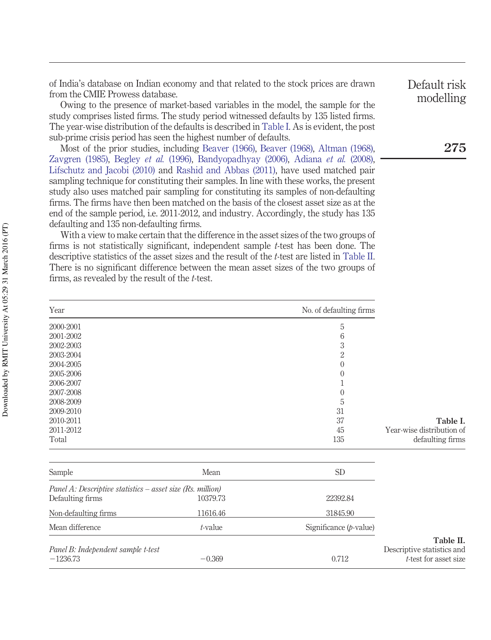of India's database on Indian economy and that related to the stock prices are drawn from the CMIE Prowess database.

Owing to the presence of market-based variables in the model, the sample for the study comprises listed firms. The study period witnessed defaults by 135 listed firms. The year-wise distribution of the defaults is described in Table I. As is evident, the post sub-prime crisis period has seen the highest number of defaults.

Most of the prior studies, including Beaver (1966), Beaver (1968), Altman (1968), Zavgren (1985), Begley *et al.* (1996), Bandyopadhyay (2006), Adiana *et al.* (2008), Lifschutz and Jacobi (2010) and Rashid and Abbas (2011), have used matched pair sampling technique for constituting their samples. In line with these works, the present study also uses matched pair sampling for constituting its samples of non-defaulting firms. The firms have then been matched on the basis of the closest asset size as at the end of the sample period, i.e. 2011-2012, and industry. Accordingly, the study has 135 defaulting and 135 non-defaulting firms.

With a view to make certain that the difference in the asset sizes of the two groups of firms is not statistically significant, independent sample *t*-test has been done. The descriptive statistics of the asset sizes and the result of the *t*-test are listed in Table II. There is no significant difference between the mean asset sizes of the two groups of firms, as revealed by the result of the *t*-test.

| Year      | No. of defaulting firms |
|-----------|-------------------------|
| 2000-2001 | 5                       |
| 2001-2002 | 6                       |
| 2002-2003 | 3                       |
| 2003-2004 | $\overline{2}$          |
| 2004-2005 | 0                       |
| 2005-2006 | 0                       |
| 2006-2007 |                         |
| 2007-2008 | 0                       |
| 2008-2009 | 5                       |
| 2009-2010 | 31                      |
| 2010-2011 | 37                      |
| 2011-2012 | 45                      |
| Total     | 135                     |

| Mean     | SD.                                                          |                                                                  |
|----------|--------------------------------------------------------------|------------------------------------------------------------------|
|          |                                                              |                                                                  |
| 10379.73 | 22392.84                                                     |                                                                  |
| 11616.46 | 31845.90                                                     |                                                                  |
| t-value  | Significance $(b$ -value)                                    |                                                                  |
| $-0.369$ | 0.712                                                        | Table II.<br>Descriptive statistics and<br>t-test for asset size |
|          | Panel A: Descriptive statistics $-$ asset size (Rs. million) |                                                                  |

Default risk modelling

**Table I.**

Year-wise distribution of defaulting firms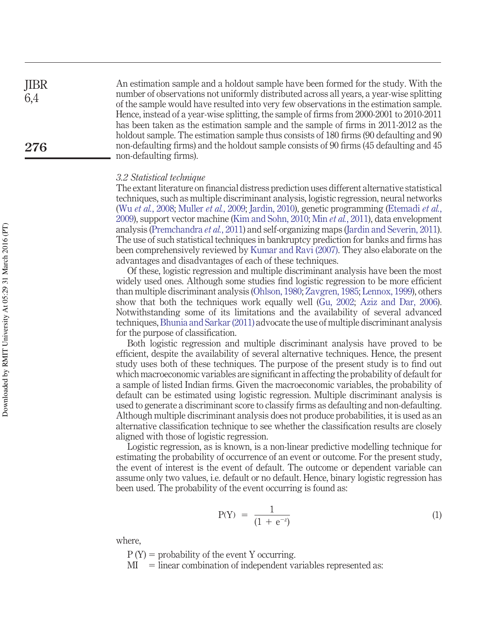An estimation sample and a holdout sample have been formed for the study. With the number of observations not uniformly distributed across all years, a year-wise splitting of the sample would have resulted into very few observations in the estimation sample. Hence, instead of a year-wise splitting, the sample of firms from 2000-2001 to 2010-2011 has been taken as the estimation sample and the sample of firms in 2011-2012 as the holdout sample. The estimation sample thus consists of 180 firms (90 defaulting and 90 non-defaulting firms) and the holdout sample consists of 90 firms (45 defaulting and 45 non-defaulting firms). JIBR 6,4 **276**

#### *3.2 Statistical technique*

The extant literature on financial distress prediction uses different alternative statistical techniques, such as multiple discriminant analysis, logistic regression, neural networks (Wu *et al.*, 2008; Muller *et al.*, 2009; Jardin, 2010), genetic programming (Etemadi *et al.*, 2009), support vector machine (Kim and Sohn, 2010; Min *et al.*, 2011), data envelopment analysis (Premchandra *et al.*, 2011) and self-organizing maps (Jardin and Severin, 2011). The use of such statistical techniques in bankruptcy prediction for banks and firms has been comprehensively reviewed by Kumar and Ravi (2007). They also elaborate on the advantages and disadvantages of each of these techniques.

Of these, logistic regression and multiple discriminant analysis have been the most widely used ones. Although some studies find logistic regression to be more efficient than multiple discriminant analysis (Ohlson, 1980; Zavgren, 1985; Lennox, 1999), others show that both the techniques work equally well (Gu, 2002; Aziz and Dar, 2006). Notwithstanding some of its limitations and the availability of several advanced techniques, Bhunia and Sarkar (2011) advocate the use of multiple discriminant analysis for the purpose of classification.

Both logistic regression and multiple discriminant analysis have proved to be efficient, despite the availability of several alternative techniques. Hence, the present study uses both of these techniques. The purpose of the present study is to find out which macroeconomic variables are significant in affecting the probability of default for a sample of listed Indian firms. Given the macroeconomic variables, the probability of default can be estimated using logistic regression. Multiple discriminant analysis is used to generate a discriminant score to classify firms as defaulting and non-defaulting. Although multiple discriminant analysis does not produce probabilities, it is used as an alternative classification technique to see whether the classification results are closely aligned with those of logistic regression.

Logistic regression, as is known, is a non-linear predictive modelling technique for estimating the probability of occurrence of an event or outcome. For the present study, the event of interest is the event of default. The outcome or dependent variable can assume only two values, i.e. default or no default. Hence, binary logistic regression has been used. The probability of the event occurring is found as:

$$
P(Y) = \frac{1}{(1 + e^{-z})}
$$
 (1)

where

 $P(Y) =$  probability of the event Y occurring.  $MI = linear combination of independent variables represented as:$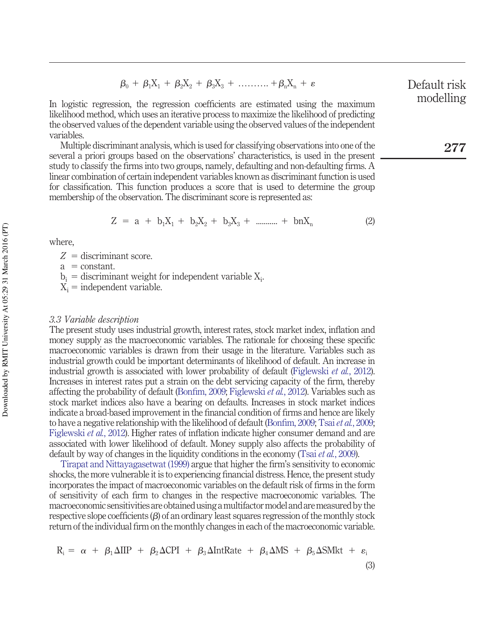$$
\beta_0 + \beta_1 X_1 + \beta_2 X_2 + \beta_3 X_3 + \ldots + \beta_n X_n + \varepsilon
$$

In logistic regression, the regression coefficients are estimated using the maximum likelihood method, which uses an iterative process to maximize the likelihood of predicting the observed values of the dependent variable using the observed values of the independent variables.

Multiple discriminant analysis, which is used for classifying observations into one of the several a priori groups based on the observations' characteristics, is used in the present study to classify the firms into two groups, namely, defaulting and non-defaulting firms. A linear combination of certain independent variables known as discriminant function is used for classification. This function produces a score that is used to determine the group membership of the observation. The discriminant score is represented as:

$$
Z = a + b_1 X_1 + b_2 X_2 + b_3 X_3 + \dots + b n X_n \tag{2}
$$

where,

 $Z =$  discriminant score.

 $a = constant$ .

- $b_i$  = discriminant weight for independent variable  $X_i$ .
- $X_i$  = independent variable.

#### *3.3 Variable description*

The present study uses industrial growth, interest rates, stock market index, inflation and money supply as the macroeconomic variables. The rationale for choosing these specific macroeconomic variables is drawn from their usage in the literature. Variables such as industrial growth could be important determinants of likelihood of default. An increase in industrial growth is associated with lower probability of default (Figlewski *et al.*, 2012). Increases in interest rates put a strain on the debt servicing capacity of the firm, thereby affecting the probability of default (Bonfim, 2009; Figlewski *et al.*, 2012). Variables such as stock market indices also have a bearing on defaults. Increases in stock market indices indicate a broad-based improvement in the financial condition of firms and hence are likely to have a negative relationship with the likelihood of default (Bonfim, 2009; Tsai *et al.*, 2009; Figlewski *et al.*, 2012). Higher rates of inflation indicate higher consumer demand and are associated with lower likelihood of default. Money supply also affects the probability of default by way of changes in the liquidity conditions in the economy (Tsai *et al.*, 2009).

Tirapat and Nittayagasetwat (1999) argue that higher the firm's sensitivity to economic shocks, the more vulnerable it is to experiencing financial distress. Hence, the present study incorporates the impact of macroeconomic variables on the default risk of firms in the form of sensitivity of each firm to changes in the respective macroeconomic variables. The macroeconomic sensitivities are obtained using amultifactormodel and aremeasured by the respective slope coefficients  $(\beta)$  of an ordinary least squares regression of the monthly stock return of the individual firm on the monthly changes in each of the macroeconomic variable.

$$
R_i = \alpha + \beta_1 \Delta IIP + \beta_2 \Delta CPI + \beta_3 \Delta IntRate + \beta_4 \Delta MS + \beta_5 \Delta SMkt + \varepsilon_i
$$
\n(3)

Default risk modelling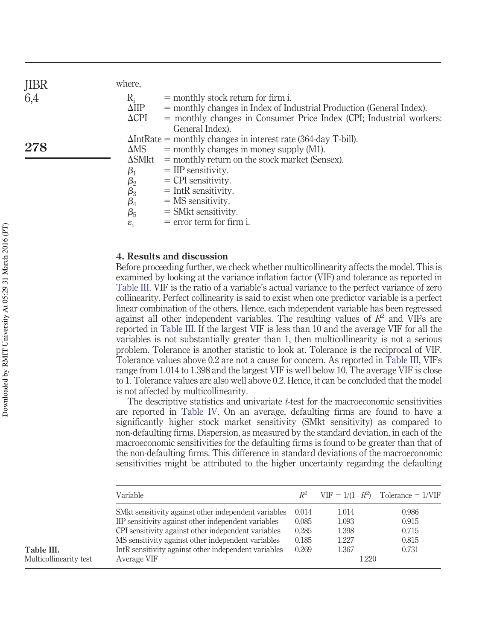| <b>JIBR</b> | where,          |                                                                                        |
|-------------|-----------------|----------------------------------------------------------------------------------------|
| 6,4         | $R_i$           | $=$ monthly stock return for firm i.                                                   |
|             | $\Delta$ IIIP   | = monthly changes in Index of Industrial Production (General Index).                   |
|             | $\Delta$ CPI    | = monthly changes in Consumer Price Index (CPI; Industrial workers:<br>General Index). |
|             |                 | $\Delta$ IntRate = monthly changes in interest rate (364-day T-bill).                  |
| 278         | $\Delta MS$     | $=$ monthly changes in money supply (M1).                                              |
|             | $\Delta$ SMkt   | $=$ monthly return on the stock market (Sensex).                                       |
|             | $\beta_1$       | $=$ IIP sensitivity.                                                                   |
|             | $\beta_2$       | $=$ CPI sensitivity.                                                                   |
|             | $\beta_3$       | $=$ IntR sensitivity.                                                                  |
|             | $\beta_4$       | $= MS$ sensitivity.                                                                    |
|             | $\beta_{5}$     | $=$ SMkt sensitivity.                                                                  |
|             | $\varepsilon_i$ | $=$ error term for firm i.                                                             |

#### **4. Results and discussion**

Before proceeding further, we check whether multicollinearity affects the model. This is examined by looking at the variance inflation factor (VIF) and tolerance as reported in Table III. VIF is the ratio of a variable's actual variance to the perfect variance of zero collinearity. Perfect collinearity is said to exist when one predictor variable is a perfect linear combination of the others. Hence, each independent variable has been regressed against all other independent variables. The resulting values of  $R^2$  and VIFs are reported in Table III. If the largest VIF is less than 10 and the average VIF for all the variables is not substantially greater than 1, then multicollinearity is not a serious problem. Tolerance is another statistic to look at. Tolerance is the reciprocal of VIF. Tolerance values above 0.2 are not a cause for concern. As reported in Table III, VIFs range from 1.014 to 1.398 and the largest VIF is well below 10. The average VIF is close to 1. Tolerance values are also well above 0.2. Hence, it can be concluded that the model is not affected by multicollinearity.

The descriptive statistics and univariate *t*-test for the macroeconomic sensitivities are reported in Table IV. On an average, defaulting firms are found to have a significantly higher stock market sensitivity (SMkt sensitivity) as compared to non-defaulting firms. Dispersion, as measured by the standard deviation, in each of the macroeconomic sensitivities for the defaulting firms is found to be greater than that of the non-defaulting firms. This difference in standard deviations of the macroeconomic sensitivities might be attributed to the higher uncertainty regarding the defaulting

|                        | Variable                                             | $R^2$ |       | $VIF = 1/(1 - R^2)$ Tolerance = 1/VIF |
|------------------------|------------------------------------------------------|-------|-------|---------------------------------------|
|                        | SMkt sensitivity against other independent variables | 0.014 | 1.014 | 0.986                                 |
|                        | IIP sensitivity against other independent variables  | 0.085 | 1.093 | 0.915                                 |
|                        | CPI sensitivity against other independent variables  | 0.285 | 1.398 | 0.715                                 |
|                        | MS sensitivity against other independent variables   | 0.185 | 1.227 | 0.815                                 |
| Table III.             | IntR sensitivity against other independent variables | 0.269 | 1.367 | 0.731                                 |
| Multicollinearity test | Average VIF                                          |       | 1.220 |                                       |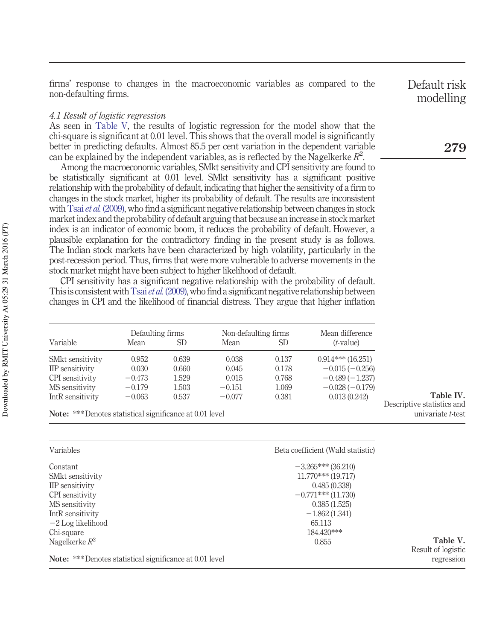firms' response to changes in the macroeconomic variables as compared to the non-defaulting firms.

#### *4.1 Result of logistic regression*

As seen in Table V, the results of logistic regression for the model show that the chi-square is significant at 0.01 level. This shows that the overall model is significantly better in predicting defaults. Almost 85.5 per cent variation in the dependent variable can be explained by the independent variables, as is reflected by the Nagelkerke  $R^2$ .

Among the macroeconomic variables, SMkt sensitivity and CPI sensitivity are found to be statistically significant at 0.01 level. SMkt sensitivity has a significant positive relationship with the probability of default, indicating that higher the sensitivity of a firm to changes in the stock market, higher its probability of default. The results are inconsistent with Tsai *et al.* (2009), who find a significant negative relationship between changes in stock market index and the probability of default arguing that because an increase in stock market index is an indicator of economic boom, it reduces the probability of default. However, a plausible explanation for the contradictory finding in the present study is as follows. The Indian stock markets have been characterized by high volatility, particularly in the post-recession period. Thus, firms that were more vulnerable to adverse movements in the stock market might have been subject to higher likelihood of default.

CPI sensitivity has a significant negative relationship with the probability of default. Thisis consistent withTsai *et al.*(2009), who find a significant negative relationship between changes in CPI and the likelihood of financial distress. They argue that higher inflation

|                  | Defaulting firms |       | Non-defaulting firms |       | Mean difference     |
|------------------|------------------|-------|----------------------|-------|---------------------|
| Variable         | Mean             | SD.   | Mean                 | SD.   | $(t$ -value)        |
| SMkt sensitivity | 0.952            | 0.639 | 0.038                | 0.137 | $0.914***$ (16.251) |
| IIP sensitivity  | 0.030            | 0.660 | 0.045                | 0.178 | $-0.015(-0.256)$    |
| CPI sensitivity  | $-0.473$         | 1.529 | 0.015                | 0.768 | $-0.489(-1.237)$    |
| MS sensitivity   | $-0.179$         | 1.503 | $-0.151$             | 1.069 | $-0.028(-0.179)$    |
| IntR sensitivity | $-0.063$         | 0.537 | $-0.077$             | 0.381 | 0.013(0.242)        |

**Note:** \*\*\*Denotes statistical significance at 0.01 level

| Variables                                                      | Beta coefficient (Wald statistic) |
|----------------------------------------------------------------|-----------------------------------|
| Constant                                                       | $-3.265***$ (36.210)              |
| <b>SMkt sensitivity</b>                                        | $11.770***$ (19.717)              |
| IIP sensitivity                                                | 0.485(0.338)                      |
| CPI sensitivity                                                | $-0.771***(11.730)$               |
| MS sensitivity                                                 | 0.385(1.525)                      |
| IntR sensitivity                                               | $-1.862(1.341)$                   |
| $-2$ Log likelihood                                            | 65.113                            |
| Chi-square                                                     | 184.420***                        |
| Nagelkerke $\mathbb{R}^2$                                      | 0.855                             |
| <b>Note:</b> ***Denotes statistical significance at 0.01 level |                                   |

Default risk modelling

**279**

**Table IV.** Descriptive statistics and univariate *t*-test

> **Table V.** Result of logistic regression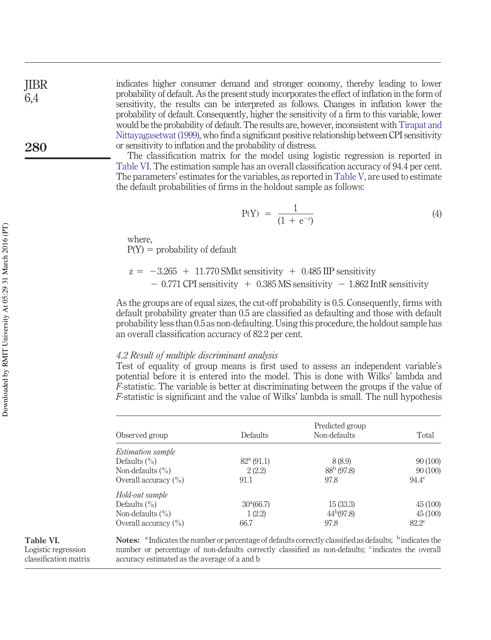indicates higher consumer demand and stronger economy, thereby leading to lower probability of default. As the present study incorporates the effect of inflation in the form of sensitivity, the results can be interpreted as follows. Changes in inflation lower the probability of default. Consequently, higher the sensitivity of a firm to this variable, lower would be the probability of default. The results are, however, inconsistent with Tirapat and Nittayagasetwat (1999), who find a significant positive relationship between CPI sensitivity or sensitivity to inflation and the probability of distress.

The classification matrix for the model using logistic regression is reported in Table VI. The estimation sample has an overall classification accuracy of 94.4 per cent. The parameters' estimates for the variables, as reported in Table V, are used to estimate the default probabilities of firms in the holdout sample as follows:

$$
P(Y) = \frac{1}{(1 + e^{-z})}
$$
 (4)

where,

 $P(Y) =$  probability of default

 $z = -3.265 + 11.770$  SMkt sensitivity  $+ 0.485$  IIP sensitivity  $-0.771$  CPI sensitivity  $+0.385$  MS sensitivity  $-1.862$  IntR sensitivity

As the groups are of equal sizes, the cut-off probability is 0.5. Consequently, firms with default probability greater than 0.5 are classified as defaulting and those with default probability less than 0.5 as non-defaulting. Using this procedure, the holdout sample has an overall classification accuracy of 82.2 per cent.

#### *4.2 Result of multiple discriminant analysis*

Test of equality of group means is first used to assess an independent variable's potential before it is entered into the model. This is done with Wilks' lambda and *F*-statistic. The variable is better at discriminating between the groups if the value of *F*-statistic is significant and the value of Wilks' lambda is small. The null hypothesis

| Observed group           | Defaults           | Predicted group<br>Non-defaults | Total          |
|--------------------------|--------------------|---------------------------------|----------------|
| <i>Estimation sample</i> |                    |                                 |                |
| Defaults $(\% )$         | $82^{\rm a}(91.1)$ | 8 (8.9)                         | 90(100)        |
| Non-defaults $(\% )$     | 2(2.2)             | $88^{\rm b}$ (97.8)             | 90(100)        |
| Overall accuracy $(\% )$ | 91.1               | 97.8                            | $94.4^{\circ}$ |
| Hold-out sample          |                    |                                 |                |
| Defaults $(\% )$         | $30^{\circ}(66.7)$ | 15(33.3)                        | 45(100)        |
| Non-defaults $(\% )$     | 1(2.2)             | $44^{b}(97.8)$                  | 45(100)        |
| Overall accuracy $(\% )$ | 66.7               | 97.8                            | $82.2^{\circ}$ |



Notes: <sup>a</sup> Indicates the number or percentage of defaults correctly classified as defaults; <sup>b</sup> indicates the number or percentage of non-defaults correctly classified as non-defaults; cindicates the overall accuracy estimated as the average of a and b

JIBR 6,4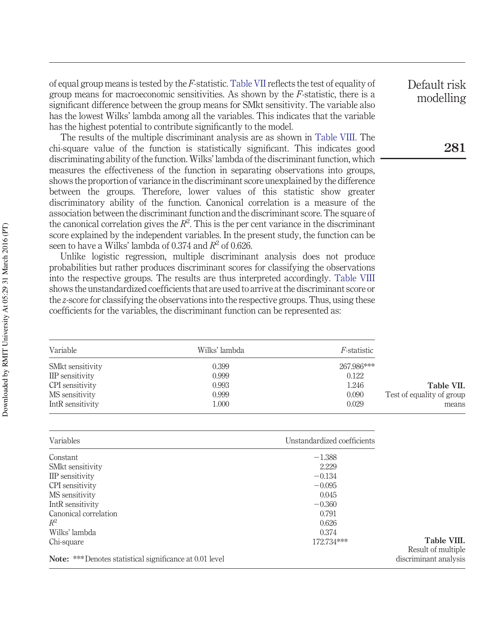of equal group means is tested by the *F*-statistic. Table VII reflects the test of equality of group means for macroeconomic sensitivities. As shown by the *F*-statistic, there is a significant difference between the group means for SMkt sensitivity. The variable also has the lowest Wilks' lambda among all the variables. This indicates that the variable has the highest potential to contribute significantly to the model.

The results of the multiple discriminant analysis are as shown in Table VIII. The chi-square value of the function is statistically significant. This indicates good discriminating ability of the function. Wilks' lambda of the discriminant function, which measures the effectiveness of the function in separating observations into groups, shows the proportion of variance in the discriminant score unexplained by the difference between the groups. Therefore, lower values of this statistic show greater discriminatory ability of the function. Canonical correlation is a measure of the association between the discriminant function and the discriminant score. The square of the canonical correlation gives the  $R^2$ . This is the per cent variance in the discriminant score explained by the independent variables. In the present study, the function can be seen to have a Wilks' lambda of 0.374 and  $R^2$  of 0.626.

Unlike logistic regression, multiple discriminant analysis does not produce probabilities but rather produces discriminant scores for classifying the observations into the respective groups. The results are thus interpreted accordingly. Table VIII shows the unstandardized coefficients that are used to arrive at the discriminant score or the *z*-score for classifying the observations into the respective groups. Thus, using these coefficients for the variables, the discriminant function can be represented as:

| Variable         | Wilks' lambda | <i>F</i> -statistic |                           |
|------------------|---------------|---------------------|---------------------------|
| SMkt sensitivity | 0.399         | 267.986***          |                           |
| IIP sensitivity  | 0.999         | 0.122               |                           |
| CPI sensitivity  | 0.993         | 1.246               | Table VII.                |
| MS sensitivity   | 0.999         | 0.090               | Test of equality of group |
| IntR sensitivity | 1.000         | 0.029               | means                     |

| Unstandardized coefficients |                                   |
|-----------------------------|-----------------------------------|
| $-1.388$                    |                                   |
| 2.229                       |                                   |
| $-0.134$                    |                                   |
| $-0.095$                    |                                   |
| 0.045                       |                                   |
| $-0.360$                    |                                   |
| 0.791                       |                                   |
| 0.626                       |                                   |
| 0.374                       |                                   |
| 172.734***                  | Table VIII.<br>Result of multiple |
|                             | discriminant analysis             |
|                             |                                   |

Default risk modelling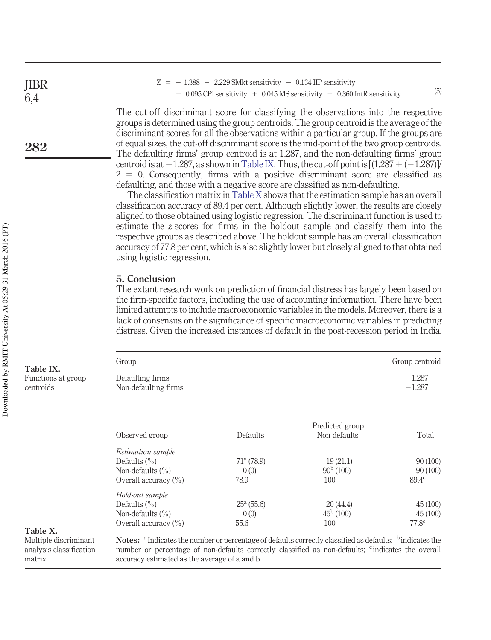| <b>IIBR</b><br>6,4 | $Z = -1.388 + 2.229$ SMkt sensitivity $-0.134$ IIP sensitivity<br>$-0.095$ CPI sensitivity $+0.045$ MS sensitivity $-0.360$ IntR sensitivity                                                                          | (5) |
|--------------------|-----------------------------------------------------------------------------------------------------------------------------------------------------------------------------------------------------------------------|-----|
|                    | The cut-off discriminant score for classifying the observations into the respective<br>$\mathbf{y}$ , and $\mathbf{y}$ , and $\mathbf{y}$ , and $\mathbf{y}$ , and $\mathbf{y}$ , and $\mathbf{y}$ , and $\mathbf{y}$ |     |

groups is determined using the group centroids. The group centroid is the average of the discriminant scores for all the observations within a particular group. If the groups are of equal sizes, the cut-off discriminant score is the mid-point of the two group centroids. The defaulting firms' group centroid is at 1.287, and the non-defaulting firms' group centroid is at  $-1.287$ , as shown in Table IX. Thus, the cut-off point is  $[(1.287 + (-1.287)$  $2 = 0$ . Consequently, firms with a positive discriminant score are classified as defaulting, and those with a negative score are classified as non-defaulting.

The classification matrix in Table X shows that the estimation sample has an overall classification accuracy of 89.4 per cent. Although slightly lower, the results are closely aligned to those obtained using logistic regression. The discriminant function is used to estimate the *z*-scores for firms in the holdout sample and classify them into the respective groups as described above. The holdout sample has an overall classification accuracy of 77.8 per cent, which is also slightly lower but closely aligned to that obtained using logistic regression.

#### **5. Conclusion**

The extant research work on prediction of financial distress has largely been based on the firm-specific factors, including the use of accounting information. There have been limited attempts to include macroeconomic variables in the models. Moreover, there is a lack of consensus on the significance of specific macroeconomic variables in predicting distress. Given the increased instances of default in the post-recession period in India,

| Table IX.<br>Functions at group<br>centroids | Group                                    | Group centroid    |
|----------------------------------------------|------------------------------------------|-------------------|
|                                              | Defaulting firms<br>Non-defaulting firms | 1.287<br>$-1.287$ |

| Observed group           | Defaults            | Predicted group<br>Non-defaults | Total             |
|--------------------------|---------------------|---------------------------------|-------------------|
| <i>Estimation sample</i> |                     |                                 |                   |
| Defaults $(\% )$         | $71^{\circ}$ (78.9) | 19(21.1)                        | 90 (100)          |
| Non-defaults $(\% )$     | 0(0)                | $90b$ (100)                     | 90(100)           |
| Overall accuracy $(\% )$ | 78.9                | 100                             | $89.4^\circ$      |
| Hold-out sample          |                     |                                 |                   |
| Defaults $(\% )$         | $25^{\rm a}$ (55.6) | 20(44.4)                        | 45(100)           |
| Non-defaults $(\% )$     | 0(0)                | $45^{\rm b}$ (100)              | 45(100)           |
| Overall accuracy $(\%)$  | 55.6                | 100                             | 77.8 <sup>c</sup> |

**Table X.** Multiple discriminant analysis classification matrix

Notes: <sup>a</sup> Indicates the number or percentage of defaults correctly classified as defaults; <sup>b</sup> indicates the number or percentage of non-defaults correctly classified as non-defaults; cindicates the overall accuracy estimated as the average of a and b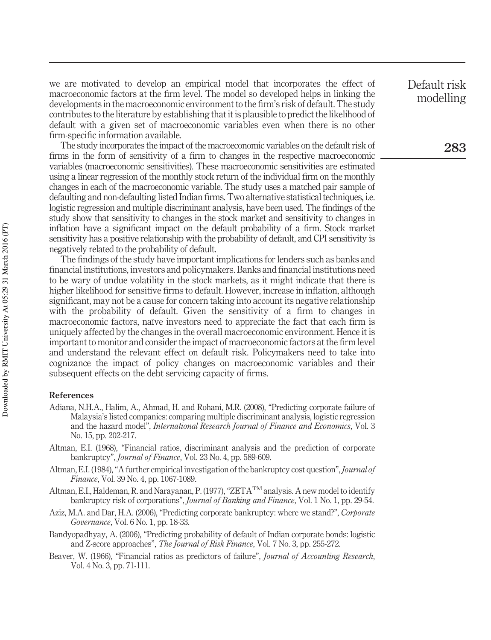we are motivated to develop an empirical model that incorporates the effect of macroeconomic factors at the firm level. The model so developed helps in linking the developments in the macroeconomic environment to the firm's risk of default. The study contributes to the literature by establishing that it is plausible to predict the likelihood of default with a given set of macroeconomic variables even when there is no other firm-specific information available.

The study incorporates the impact of the macroeconomic variables on the default risk of firms in the form of sensitivity of a firm to changes in the respective macroeconomic variables (macroeconomic sensitivities). These macroeconomic sensitivities are estimated using a linear regression of the monthly stock return of the individual firm on the monthly changes in each of the macroeconomic variable. The study uses a matched pair sample of defaulting and non-defaulting listed Indian firms. Two alternative statistical techniques, i.e. logistic regression and multiple discriminant analysis, have been used. The findings of the study show that sensitivity to changes in the stock market and sensitivity to changes in inflation have a significant impact on the default probability of a firm. Stock market sensitivity has a positive relationship with the probability of default, and CPI sensitivity is negatively related to the probability of default.

The findings of the study have important implications for lenders such as banks and financial institutions, investors and policymakers. Banks and financial institutions need to be wary of undue volatility in the stock markets, as it might indicate that there is higher likelihood for sensitive firms to default. However, increase in inflation, although significant, may not be a cause for concern taking into account its negative relationship with the probability of default. Given the sensitivity of a firm to changes in macroeconomic factors, naïve investors need to appreciate the fact that each firm is uniquely affected by the changes in the overall macroeconomic environment. Hence it is important to monitor and consider the impact of macroeconomic factors at the firm level and understand the relevant effect on default risk. Policymakers need to take into cognizance the impact of policy changes on macroeconomic variables and their subsequent effects on the debt servicing capacity of firms.

#### **References**

- Adiana, N.H.A., Halim, A., Ahmad, H. and Rohani, M.R. (2008), "Predicting corporate failure of Malaysia's listed companies: comparing multiple discriminant analysis, logistic regression and the hazard model", *International Research Journal of Finance and Economics*, Vol. 3 No. 15, pp. 202-217.
- Altman, E.I. (1968), "Financial ratios, discriminant analysis and the prediction of corporate bankruptcy", *Journal of Finance*, Vol. 23 No. 4, pp. 589-609.
- Altman, E.I. (1984), "A further empirical investigation of the bankruptcy cost question", *Journal of Finance*, Vol. 39 No. 4, pp. 1067-1089.
- Altman, E.I., Haldeman, R. and Narayanan, P. (1977), "ZETA<sup>TM</sup> analysis. A new model to identify bankruptcy risk of corporations", *Journal of Banking and Finance*, Vol. 1 No. 1, pp. 29-54.
- Aziz, M.A. and Dar, H.A. (2006), "Predicting corporate bankruptcy: where we stand?", *Corporate Governance*, Vol. 6 No. 1, pp. 18-33.
- Bandyopadhyay, A. (2006), "Predicting probability of default of Indian corporate bonds: logistic and Z-score approaches", *The Journal of Risk Finance*, Vol. 7 No. 3, pp. 255-272.
- Beaver, W. (1966), "Financial ratios as predictors of failure", *Journal of Accounting Research*, Vol. 4 No. 3, pp. 71-111.

Default risk modelling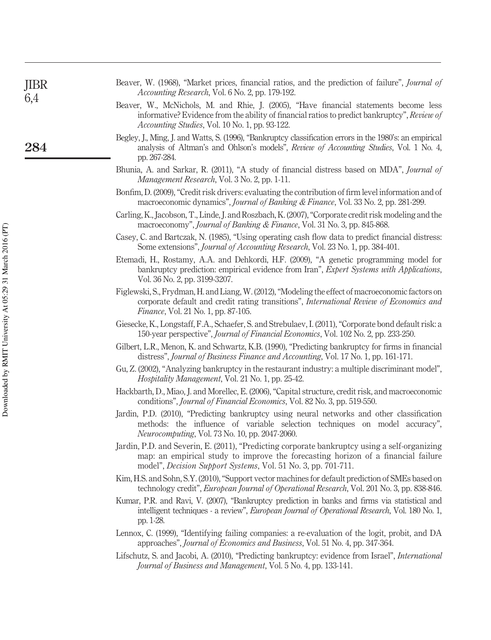| <b>TIBR</b><br>6,4 | Beaver, W. (1968), "Market prices, financial ratios, and the prediction of failure", Journal of<br>Accounting Research, Vol. 6 No. 2, pp. 179-192.                                                                                                          |
|--------------------|-------------------------------------------------------------------------------------------------------------------------------------------------------------------------------------------------------------------------------------------------------------|
|                    | Beaver, W., McNichols, M. and Rhie, J. (2005), "Have financial statements become less<br>informative? Evidence from the ability of financial ratios to predict bankruptcy", Review of<br>Accounting Studies, Vol. 10 No. 1, pp. 93-122.                     |
| 284                | Begley, J., Ming, J. and Watts, S. (1996), "Bankruptcy classification errors in the 1980's: an empirical<br>analysis of Altman's and Ohlson's models", Review of Accounting Studies, Vol. 1 No. 4,<br>pp. 267-284.                                          |
|                    | Bhunia, A. and Sarkar, R. (2011), "A study of financial distress based on MDA", Journal of<br>Management Research, Vol. 3 No. 2, pp. 1-11.                                                                                                                  |
|                    | Bonfim, D. (2009), "Credit risk drivers: evaluating the contribution of firm level information and of<br>macroeconomic dynamics", Journal of Banking & Finance, Vol. 33 No. 2, pp. 281-299.                                                                 |
|                    | Carling, K., Jacobson, T., Linde, J. and Roszbach, K. (2007), "Corporate credit risk modeling and the<br>macroeconomy", Journal of Banking & Finance, Vol. 31 No. 3, pp. 845-868.                                                                           |
|                    | Casey, C. and Bartczak, N. (1985), "Using operating cash flow data to predict financial distress:<br>Some extensions", Journal of Accounting Research, Vol. 23 No. 1, pp. 384-401.                                                                          |
|                    | Etemadi, H., Rostamy, A.A. and Dehkordi, H.F. (2009), "A genetic programming model for<br>bankruptcy prediction: empirical evidence from Iran", Expert Systems with Applications,<br>Vol. 36 No. 2, pp. 3199-3207.                                          |
|                    | Figlewski, S., Frydman, H. and Liang, W. (2012), "Modeling the effect of macroeconomic factors on<br>corporate default and credit rating transitions", International Review of Economics and<br>Finance, Vol. 21 No. 1, pp. 87-105.                         |
|                    | Giesecke, K., Longstaff, F.A., Schaefer, S. and Strebulaev, I. (2011), "Corporate bond default risk: a<br>150-year perspective", Journal of Financial Economics, Vol. 102 No. 2, pp. 233-250.                                                               |
|                    | Gilbert, L.R., Menon, K. and Schwartz, K.B. (1990), "Predicting bankruptcy for firms in financial<br>distress", Journal of Business Finance and Accounting, Vol. 17 No. 1, pp. 161-171.                                                                     |
|                    | Gu, Z. (2002), "Analyzing bankruptcy in the restaurant industry: a multiple discriminant model",<br><i>Hospitality Management, Vol. 21 No. 1, pp. 25-42.</i>                                                                                                |
|                    | Hackbarth, D., Miao, J. and Morellec, E. (2006), "Capital structure, credit risk, and macroeconomic<br>conditions", Journal of Financial Economics, Vol. 82 No. 3, pp. 519-550.                                                                             |
|                    | Jardin, P.D. (2010), "Predicting bankruptcy using neural networks and other classification<br>methods: the influence of variable selection techniques on model accuracy",<br>Neurocomputing, Vol. 73 No. 10, pp. 2047-2060.                                 |
|                    | Jardin, P.D. and Severin, E. (2011), "Predicting corporate bankruptcy using a self-organizing<br>map: an empirical study to improve the forecasting horizon of a financial failure<br>model", <i>Decision Support Systems</i> , Vol. 51 No. 3, pp. 701-711. |
|                    | Kim, H.S. and Sohn, S.Y. (2010), "Support vector machines for default prediction of SMEs based on<br>technology credit", European Journal of Operational Research, Vol. 201 No. 3, pp. 838-846.                                                             |
|                    | Kumar, P.R. and Ravi, V. (2007), "Bankruptcy prediction in banks and firms via statistical and<br>intelligent techniques - a review", <i>European Journal of Operational Research</i> , Vol. 180 No. 1,<br>pp. 1-28.                                        |
|                    | Lennox, C. (1999), "Identifying failing companies: a re-evaluation of the logit, probit, and DA<br>approaches", Journal of Economics and Business, Vol. 51 No. 4, pp. 347-364.                                                                              |
|                    | Lifschutz, S. and Jacobi, A. (2010), "Predicting bankruptcy: evidence from Israel", <i>International</i><br>Journal of Business and Management, Vol. 5 No. 4, pp. 133-141.                                                                                  |
|                    |                                                                                                                                                                                                                                                             |